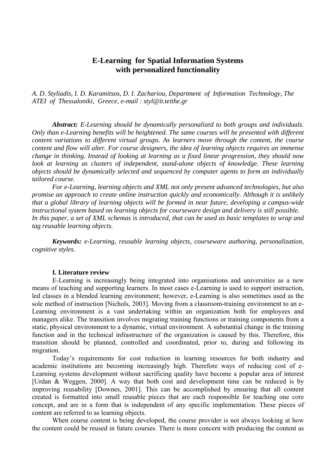# **E-Learning for Spatial Information Systems with personalized functionality**

*A. D. Styliadis, I. D. Karamitsos, D. I. Zachariou, Department of Information Technology, The ATEI of Thessaloniki, Greece, e-mail : styl@it.teithe.gr* 

*Abstract: E-Learning should be dynamically personalized to both groups and individuals. Only than e-Learning benefits will be heightened. The same courses will be presented with different content variations to different virtual groups. As learners move through the content, the course content and flow will alter. For course designers, the idea of learning objects requires an immense change in thinking. Instead of looking at learning as a fixed linear progression, they should now look at learning as clusters of independent, stand-alone objects of knowledge. These learning objects should be dynamically selected and sequenced by computer agents to form an individually tailored course.* 

*For e-Learning, learning objects and XML not only present advanced technologies, but also promise an approach to create online instruction quickly and economically. Although it is unlikely that a global library of learning objects will be formed in near future, developing a campus-wide instructional system based on learning objects for courseware design and delivery is still possible. In this paper, a set of XML schemas is introduced, that can be used as basic templates to wrap and tag reusable learning objects.* 

*Keywords: e-Learning, reusable learning objects, courseware authoring, personalization, cognitive styles.* 

#### **I. Literature review**

E-Learning is increasingly being integrated into organisations and universities as a new means of teaching and supporting learners. In most cases e-Learning is used to support instruction, led classes in a blended learning environment; however, e-Learning is also sometimes used as the sole method of instruction [Nichols, 2003]. Moving from a classroom-training environment to an e-Learning environment is a vast undertaking within an organization both for employees and managers alike. The transition involves migrating training functions or training components from a static, physical environment to a dynamic, virtual environment. A substantial change in the training function and in the technical infrastructure of the organization is caused by this. Therefore, this transition should be planned, controlled and coordinated, prior to, during and following its migration.

Today's requirements for cost reduction in learning resources for both industry and academic institutions are becoming increasingly high. Therefore ways of reducing cost of e-Learning systems development without sacrificing quality have become a popular area of interest [Urdan & Weggen, 2000]. A way that both cost and development time can be reduced is by improving reusability [Downes, 2001]. This can be accomplished by ensuring that all content created is formatted into small reusable pieces that are each responsible for teaching one core concept, and are in a form that is independent of any specific implementation. These pieces of content are referred to as learning objects.

When course content is being developed, the course provider is not always looking at how the content could be reused in future courses. There is more concern with producing the content as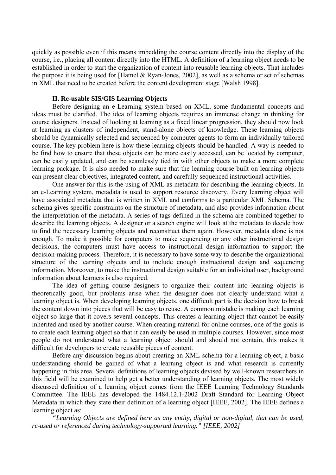quickly as possible even if this means imbedding the course content directly into the display of the course, i.e., placing all content directly into the HTML. Α definition of a learning object needs to be established in order to start the organization of content into reusable learning objects. Τhat includes the purpose it is being used for [Hamel & Ryan-Jones, 2002], as well as a schema or set of schemas in XML that need to be created before the content development stage [Walsh 1998].

### **II. Re-usable SIS/GIS Learning Objects**

Before designing an e-Learning system based on XML, some fundamental concepts and ideas must be clarified. The idea of learning objects requires an immense change in thinking for course designers. Instead of looking at learning as a fixed linear progression, they should now look at learning as clusters of independent, stand-alone objects of knowledge. These learning objects should be dynamically selected and sequenced by computer agents to form an individually tailored course. The key problem here is how these learning objects should be handled. A way is needed to be find how to ensure that these objects can be more easily accessed, can be located by computer, can be easily updated, and can be seamlessly tied in with other objects to make a more complete learning package. It is also needed to make sure that the learning course built on learning objects can present clear objectives, integrated content, and carefully sequenced instructional activities.

One answer for this is the using of XML as metadata for describing the learning objects. In an e-Learning system, metadata is used to support resource discovery. Every learning object will have associated metadata that is written in XML and conforms to a particular XML Schema. The schema gives specific constraints on the structure of metadata, and also provides information about the interpretation of the metadata. A series of tags defined in the schema are combined together to describe the learning objects. A designer or a search engine will look at the metadata to decide how to find the necessary learning objects and reconstruct them again. However, metadata alone is not enough. To make it possible for computers to make sequencing or any other instructional design decisions, the computers must have access to instructional design information to support the decision-making process. Therefore, it is necessary to have some way to describe the organizational structure of the learning objects and to include enough instructional design and sequencing information. Moreover, to make the instructional design suitable for an individual user, background information about learners is also required.

The idea of getting course designers to organize their content into learning objects is theoretically good, but problems arise when the designer does not clearly understand what a learning object is. When developing learning objects, one difficult part is the decision how to break the content down into pieces that will be easy to reuse. A common mistake is making each learning object so large that it covers several concepts. This creates a learning object that cannot be easily inherited and used by another course. When creating material for online courses, one of the goals is to create each learning object so that it can easily be used in multiple courses. However, since most people do not understand what a learning object should and should not contain, this makes it difficult for developers to create reusable pieces of content.

Before any discussion begins about creating an XML schema for a learning object, a basic understanding should be gained of what a learning object is and what research is currently happening in this area. Several definitions of learning objects devised by well-known researchers in this field will be examined to help get a better understanding of learning objects. The most widely discussed definition of a learning object comes from the IEEE Learning Technology Standards Committee. The IEEE has developed the 1484.12.1-2002 Draft Standard for Learning Object Metadata in which they state their definition of a learning object [IEEE, 2002]. The IEEE defines a learning object as:

*"Learning Objects are defined here as any entity, digital or non-digital, that can be used, re-used or referenced during technology-supported learning." [IEEE, 2002]*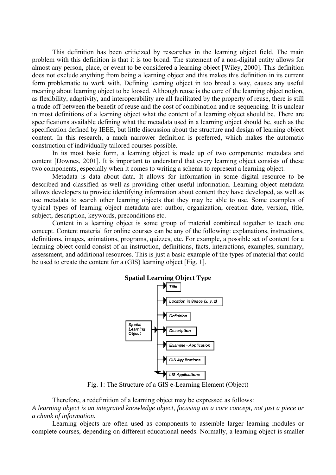This definition has been criticized by researches in the learning object field. The main problem with this definition is that it is too broad. The statement of a non-digital entity allows for almost any person, place, or event to be considered a learning object [Wiley, 2000]. This definition does not exclude anything from being a learning object and this makes this definition in its current form problematic to work with. Defining learning object in too broad a way, causes any useful meaning about learning object to be loosed. Although reuse is the core of the learning object notion, as flexibility, adaptivity, and interoperability are all facilitated by the property of reuse, there is still a trade-off between the benefit of reuse and the cost of combination and re-sequencing. It is unclear in most definitions of a learning object what the content of a learning object should be. There are specifications available defining what the metadata used in a learning object should be, such as the specification defined by IEEE, but little discussion about the structure and design of learning object content. In this research, a much narrower definition is preferred, which makes the automatic construction of individually tailored courses possible.

In its most basic form, a learning object is made up of two components: metadata and content [Downes, 2001]. It is important to understand that every learning object consists of these two components, especially when it comes to writing a schema to represent a learning object.

Metadata is data about data. It allows for information in some digital resource to be described and classified as well as providing other useful information. Learning object metadata allows developers to provide identifying information about content they have developed, as well as use metadata to search other learning objects that they may be able to use. Some examples of typical types of learning object metadata are: author, organization, creation date, version, title, subject, description, keywords, preconditions etc.

Content in a learning object is some group of material combined together to teach one concept. Content material for online courses can be any of the following: explanations, instructions, definitions, images, animations, programs, quizzes, etc. For example, a possible set of content for a learning object could consist of an instruction, definitions, facts, interactions, examples, summary, assessment, and additional resources. This is just a basic example of the types of material that could be used to create the content for a (GIS) learning object [Fig. 1].



Fig. 1: The Structure of a GIS e-Learning Element (Object)

Therefore, a redefinition of a learning object may be expressed as follows:

*A learning object is an integrated knowledge object, focusing on a core concept, not just a piece or a chunk of information.* 

Learning objects are often used as components to assemble larger learning modules or complete courses, depending on different educational needs. Normally, a learning object is smaller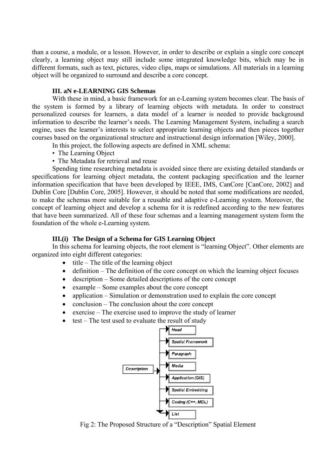than a course, a module, or a lesson. However, in order to describe or explain a single core concept clearly, a learning object may still include some integrated knowledge bits, which may be in different formats, such as text, pictures, video clips, maps or simulations. All materials in a learning object will be organized to surround and describe a core concept.

### **III. aN e-LEARNING GIS Schemas**

With these in mind, a basic framework for an e-Learning system becomes clear. The basis of the system is formed by a library of learning objects with metadata. In order to construct personalized courses for learners, a data model of a learner is needed to provide background information to describe the learner's needs. The Learning Management System, including a search engine, uses the learner's interests to select appropriate learning objects and then pieces together courses based on the organizational structure and instructional design information [Wiley, 2000].

- In this project, the following aspects are defined in XML schema:
- The Learning Object
- The Metadata for retrieval and reuse

Spending time researching metadata is avoided since there are existing detailed standards or specifications for learning object metadata, the content packaging specification and the learner information specification that have been developed by IEEE, IMS, CanCore [CanCore, 2002] and Dublin Core [Dublin Core, 2005]. However, it should be noted that some modifications are needed, to make the schemas more suitable for a reusable and adaptive e-Learning system. Moreover, the concept of learning object and develop a schema for it is redefined according to the new features that have been summarized. All of these four schemas and a learning management system form the foundation of the whole e-Learning system.

### **III.(i) The Design of a Schema for GIS Learning Object**

In this schema for learning objects, the root element is "learning Object". Other elements are organized into eight different categories:

- $\bullet$  title The title of the learning object
- definition The definition of the core concept on which the learning object focuses
- description Some detailed descriptions of the core concept
- example Some examples about the core concept
- application Simulation or demonstration used to explain the core concept
- conclusion The conclusion about the core concept
- exercise The exercise used to improve the study of learner
- test The test used to evaluate the result of study



Fig 2: The Proposed Structure of a "Description" Spatial Element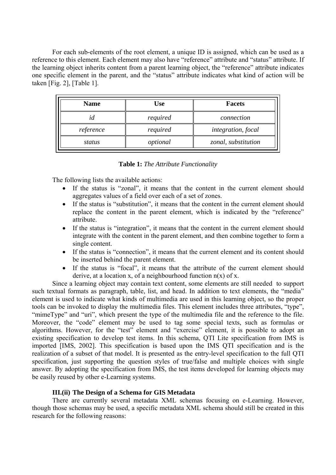For each sub-elements of the root element, a unique ID is assigned, which can be used as a reference to this element. Each element may also have "reference" attribute and "status" attribute. If the learning object inherits content from a parent learning object, the "reference" attribute indicates one specific element in the parent, and the "status" attribute indicates what kind of action will be taken [Fig. 2], [Table 1].

| <b>Name</b> | Use      | <b>Facets</b>       |
|-------------|----------|---------------------|
| id          | required | connection          |
| reference   | required | integration, focal  |
| status      | optional | zonal, substitution |

#### **Table 1:** *The Attribute Functionality*

The following lists the available actions:

- If the status is "zonal", it means that the content in the current element should aggregates values of a field over each of a set of zones.
- If the status is "substitution", it means that the content in the current element should replace the content in the parent element, which is indicated by the "reference" attribute.
- If the status is "integration", it means that the content in the current element should integrate with the content in the parent element, and then combine together to form a single content.
- If the status is "connection", it means that the current element and its content should be inserted behind the parent element.
- If the status is "focal", it means that the attribute of the current element should derive, at a location x, of a neighbourhood function  $n(x)$  of x.

Since a learning object may contain text content, some elements are still needed to support such textual formats as paragraph, table, list, and head. In addition to text elements, the "media" element is used to indicate what kinds of multimedia are used in this learning object, so the proper tools can be invoked to display the multimedia files. This element includes three attributes, "type", "mimeType" and "uri", which present the type of the multimedia file and the reference to the file. Moreover, the "code" element may be used to tag some special texts, such as formulas or algorithms. However, for the "test" element and "exercise" element, it is possible to adopt an existing specification to develop test items. In this schema, QTI Lite specification from IMS is imported [IMS, 2002]. This specification is based upon the IMS QTI specification and is the realization of a subset of that model. It is presented as the entry-level specification to the full QTI specification, just supporting the question styles of true/false and multiple choices with single answer. By adopting the specification from IMS, the test items developed for learning objects may be easily reused by other e-Learning systems.

### **III.(ii) The Design of a Schema for GIS Metadata**

There are currently several metadata XML schemas focusing on e-Learning. However, though those schemas may be used, a specific metadata XML schema should still be created in this research for the following reasons: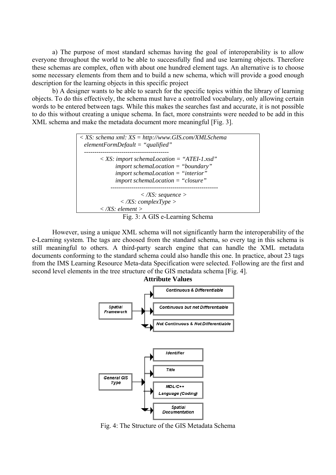a) The purpose of most standard schemas having the goal of interoperability is to allow everyone throughout the world to be able to successfully find and use learning objects. Therefore these schemas are complex, often with about one hundred element tags. An alternative is to choose some necessary elements from them and to build a new schema, which will provide a good enough description for the learning objects in this specific project

b) A designer wants to be able to search for the specific topics within the library of learning objects. To do this effectively, the schema must have a controlled vocabulary, only allowing certain words to be entered between tags. While this makes the searches fast and accurate, it is not possible to do this without creating a unique schema. In fact, more constraints were needed to be add in this XML schema and make the metadata document more meaningful [Fig. 3].



However, using a unique XML schema will not significantly harm the interoperability of the e-Learning system. The tags are choosed from the standard schema, so every tag in this schema is still meaningful to others. A third-party search engine that can handle the XML metadata documents conforming to the standard schema could also handle this one. In practice, about 23 tags from the IMS Learning Resource Meta-data Specification were selected. Following are the first and second level elements in the tree structure of the GIS metadata schema [Fig. 4].



Fig. 4: The Structure of the GIS Metadata Schema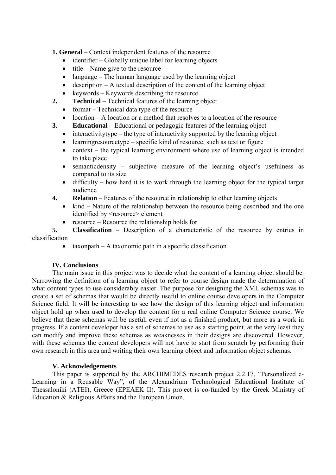**1. General** – Context independent features of the resource

- identifier Globally unique label for learning objects
- $\bullet$  title Name give to the resource
- language The human language used by the learning object
- description  $A$  textual description of the content of the learning object
- keywords Keywords describing the resource
- **2. Technical**  Technical features of the learning object
	- format Technical data type of the resource
	- location A location or a method that resolves to a location of the resource
- **3. Educational**  Educational or pedagogic features of the learning object
	- interactivitytype the type of interactivity supported by the learning object
	- learning resource type specific kind of resource, such as text or figure
	- context the typical learning environment where use of learning object is intended to take place
	- semanticdensity subjective measure of the learning object's usefulness as compared to its size
	- $\alpha$  difficulty how hard it is to work through the learning object for the typical target audience
- **4. Relation**  Features of the resource in relationship to other learning objects
	- kind Nature of the relationship between the resource being described and the one identified by <resource> element
	- resource Resource the relationship holds for

**5. Classification** – Description of a characteristic of the resource by entries in classification

 $taxonpath - A taxonomic path in a specific classification$ 

## **IV. Conclusions**

The main issue in this project was to decide what the content of a learning object should be. Narrowing the definition of a learning object to refer to course design made the determination of what content types to use considerably easier. The purpose for designing the XML schemas was to create a set of schemas that would be directly useful to online course developers in the Computer Science field. It will be interesting to see how the design of this learning object and information object hold up when used to develop the content for a real online Computer Science course. We believe that these schemas will be useful, even if not as a finished product, but more as a work in progress. If a content developer has a set of schemas to use as a starting point, at the very least they can modify and improve these schemas as weaknesses in their designs are discovered. However, with these schemas the content developers will not have to start from scratch by performing their own research in this area and writing their own learning object and information object schemas.

## **V. Acknowledgements**

This paper is supported by the ARCHIMEDES research project 2.2.17, "Personalized e-Learning in a Reusable Way", of the Alexandrium Technological Educational Institute of Thessaloniki (ATEI), Greece (EPEAEK II). This project is co-funded by the Greek Ministry of Education & Religious Affairs and the European Union.